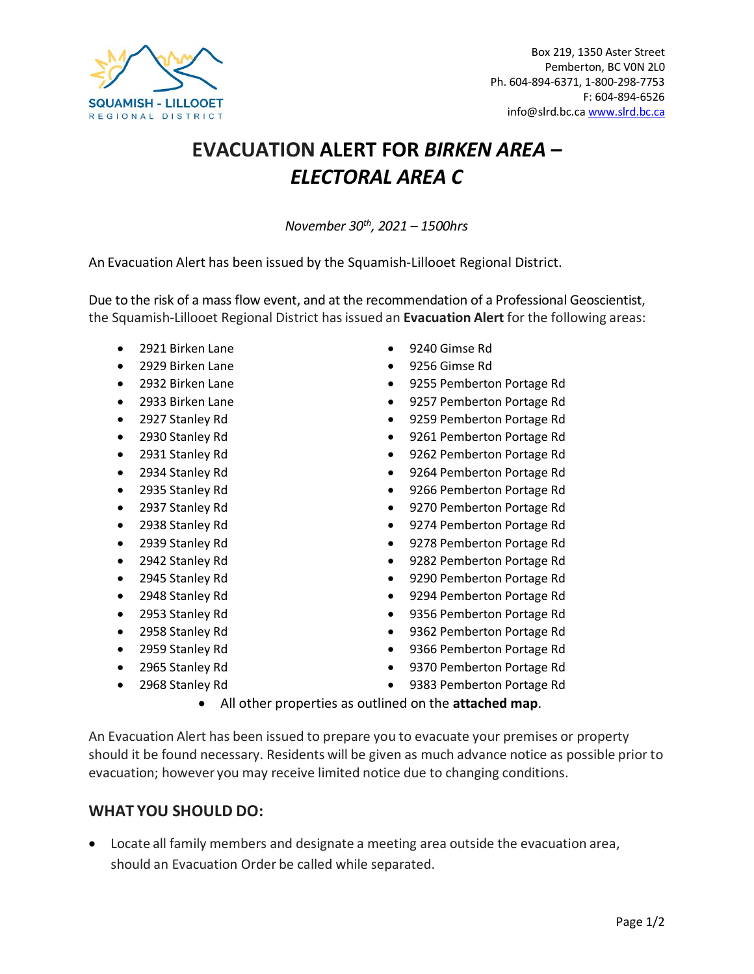

## **EVACUATION ALERT FOR** *BIRKEN AREA – ELECTORAL AREA C*

*November 30th, 2021 – 1500hrs*

An Evacuation Alert has been issued by the Squamish-Lillooet Regional District.

Due to the risk of a mass flow event, and at the recommendation of a Professional Geoscientist, the Squamish-Lillooet Regional District hasissued an **Evacuation Alert** for the following areas:

- 2921 Birken Lane 9240 Gimse Rd
- 
- 
- 
- 
- 
- 
- 
- 
- 
- 
- 
- 
- 
- 
- 
- 
- 
- 
- 
- 
- 2929 Birken Lane 9256 Gimse Rd
- 2932 Birken Lane 9255 Pemberton Portage Rd
- 2933 Birken Lane 9257 Pemberton Portage Rd
- 2927 Stanley Rd 9259 Pemberton Portage Rd
- 2930 Stanley Rd 9261 Pemberton Portage Rd
	- 2931 Stanley Rd 9262 Pemberton Portage Rd
	- 2934 Stanley Rd 9264 Pemberton Portage Rd
	- 2935 Stanley Rd 9266 Pemberton Portage Rd
	- 2937 Stanley Rd 9270 Pemberton Portage Rd
	- 2938 Stanley Rd 9274 Pemberton Portage Rd
	- 2939 Stanley Rd 9278 Pemberton Portage Rd
	- 2942 Stanley Rd 9282 Pemberton Portage Rd
- 2945 Stanley Rd 9290 Pemberton Portage Rd
- 2948 Stanley Rd 9294 Pemberton Portage Rd
	- 2953 Stanley Rd 9356 Pemberton Portage Rd
- 2958 Stanley Rd 9362 Pemberton Portage Rd
	- 2959 Stanley Rd 9366 Pemberton Portage Rd
	- 2965 Stanley Rd 9370 Pemberton Portage Rd
	- 2968 Stanley Rd 9383 Pemberton Portage Rd
		- All other properties as outlined on the **attached map**.

An Evacuation Alert has been issued to prepare you to evacuate your premises or property should it be found necessary. Residents will be given as much advance notice as possible prior to evacuation; however you may receive limited notice due to changing conditions.

## **WHAT YOU SHOULD DO:**

• Locate all family members and designate a meeting area outside the evacuation area, should an Evacuation Order be called while separated.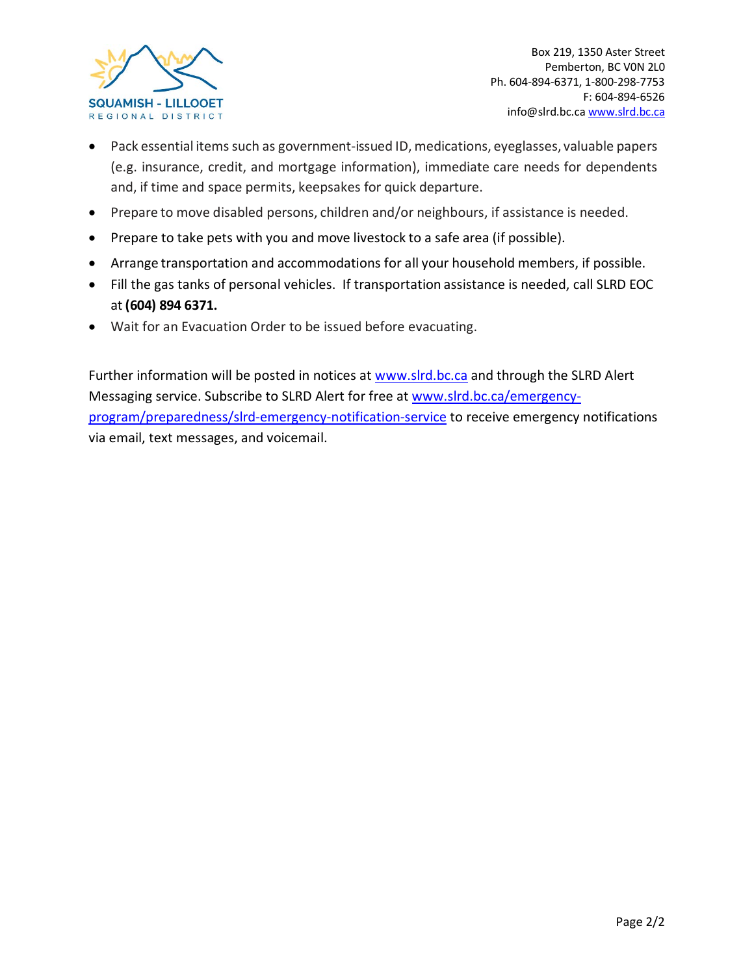

- Pack essential items such as government-issued ID, medications, eyeglasses, valuable papers (e.g. insurance, credit, and mortgage information), immediate care needs for dependents and, if time and space permits, keepsakes for quick departure.
- Prepare to move disabled persons, children and/or neighbours, if assistance is needed.
- Prepare to take pets with you and move livestock to a safe area (if possible).
- Arrange transportation and accommodations for all your household members, if possible.
- Fill the gas tanks of personal vehicles. If transportation assistance is needed, call SLRD EOC at **(604) 894 6371.**
- Wait for an Evacuation Order to be issued before evacuating.

Further information will be posted in notices at [www.slrd.bc.ca](http://www.slrd.bc.ca/) and through the SLRD Alert Messaging service. Subscribe to SLRD Alert for free at [www.slrd.bc.ca/emergency](http://www.slrd.bc.ca/emergency-program/preparedness/slrd-emergency-notification-service)[program/preparedness/slrd-emergency-notification-service](http://www.slrd.bc.ca/emergency-program/preparedness/slrd-emergency-notification-service) to receive emergency notifications via email, text messages, and voicemail.